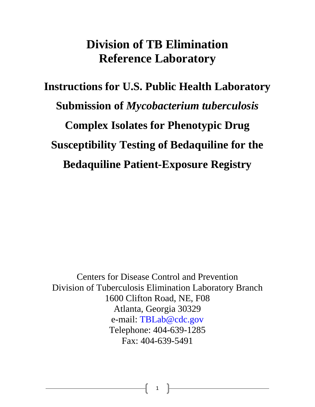# **Division of TB Elimination Reference Laboratory**

**Instructions for U.S. Public Health Laboratory Submission of** *Mycobacterium tuberculosis*  **Complex Isolates for Phenotypic Drug Susceptibility Testing of Bedaquiline for the Bedaquiline Patient-Exposure Registry**

Centers for Disease Control and Prevention Division of Tuberculosis Elimination Laboratory Branch 1600 Clifton Road, NE, F08 Atlanta, Georgia 30329 e-mail: TBLab@cdc.gov Telephone: 404-639-1285 Fax: 404-639-5491

1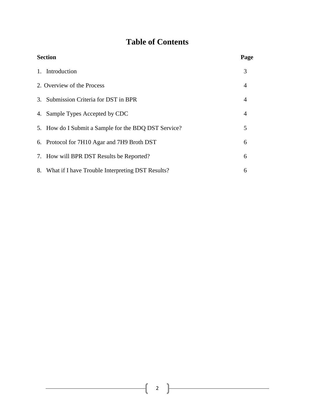## **Table of Contents**

| <b>Section</b> |                                                      | Page           |
|----------------|------------------------------------------------------|----------------|
|                | 1. Introduction                                      | 3              |
|                | 2. Overview of the Process                           | $\overline{4}$ |
|                | 3. Submission Criteria for DST in BPR                | $\overline{4}$ |
|                | 4. Sample Types Accepted by CDC                      | 4              |
|                | 5. How do I Submit a Sample for the BDQ DST Service? | 5              |
|                | 6. Protocol for 7H10 Agar and 7H9 Broth DST          | 6              |
|                | 7. How will BPR DST Results be Reported?             | 6              |
|                | 8. What if I have Trouble Interpreting DST Results?  | 6              |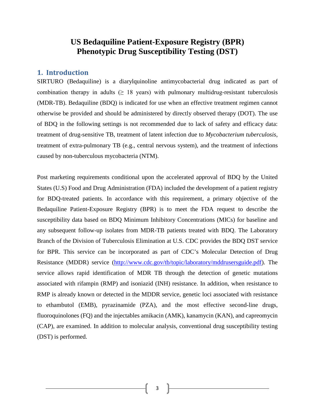### **US Bedaquiline Patient-Exposure Registry (BPR) Phenotypic Drug Susceptibility Testing (DST)**

#### **1. Introduction**

SIRTURO (Bedaquiline) is a diarylquinoline antimycobacterial drug indicated as part of combination therapy in adults ( $\geq$  18 years) with pulmonary multidrug-resistant tuberculosis (MDR-TB). Bedaquiline (BDQ) is indicated for use when an effective treatment regimen cannot otherwise be provided and should be administered by directly observed therapy (DOT). The use of BDQ in the following settings is not recommended due to lack of safety and efficacy data: treatment of drug-sensitive TB, treatment of latent infection due to *Mycobacterium tuberculosis*, treatment of extra-pulmonary TB (e.g., central nervous system), and the treatment of infections caused by non-tuberculous mycobacteria (NTM).

Post marketing requirements conditional upon the accelerated approval of BDQ by the United States (U.S) Food and Drug Administration (FDA) included the development of a patient registry for BDQ-treated patients. In accordance with this requirement, a primary objective of the Bedaquiline Patient-Exposure Registry (BPR) is to meet the FDA request to describe the susceptibility data based on BDQ Minimum Inhibitory Concentrations (MICs) for baseline and any subsequent follow-up isolates from MDR-TB patients treated with BDQ. The Laboratory Branch of the Division of Tuberculosis Elimination at U.S. CDC provides the BDQ DST service for BPR. This service can be incorporated as part of CDC's Molecular Detection of Drug Resistance (MDDR) service [\(http://www.cdc.gov/tb/topic/laboratory/mddrusersguide.pdf\)](http://www.cdc.gov/tb/topic/laboratory/mddrusersguide.pdf). The service allows rapid identification of MDR TB through the detection of genetic mutations associated with rifampin (RMP) and isoniazid (INH) resistance. In addition, when resistance to RMP is already known or detected in the MDDR service, genetic loci associated with resistance to ethambutol (EMB), pyrazinamide (PZA), and the most effective second-line drugs, fluoroquinolones (FQ) and the injectables amikacin (AMK), kanamycin (KAN), and capreomycin (CAP), are examined. In addition to molecular analysis, conventional drug susceptibility testing (DST) is performed.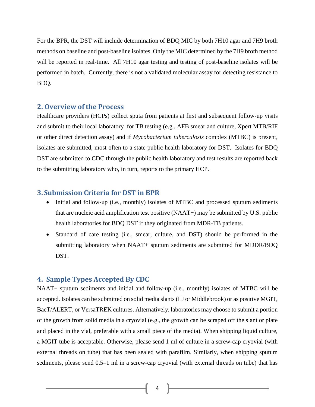For the BPR, the DST will include determination of BDQ MIC by both 7H10 agar and 7H9 broth methods on baseline and post-baseline isolates. Only the MIC determined by the 7H9 broth method will be reported in real-time. All 7H10 agar testing and testing of post-baseline isolates will be performed in batch. Currently, there is not a validated molecular assay for detecting resistance to BDQ.

#### **2. Overview of the Process**

Healthcare providers (HCPs) collect sputa from patients at first and subsequent follow-up visits and submit to their local laboratory for TB testing (e.g., AFB smear and culture, Xpert MTB/RIF or other direct detection assay) and if *Mycobacterium tuberculosis* complex (MTBC) is present, isolates are submitted, most often to a state public health laboratory for DST. Isolates for BDQ DST are submitted to CDC through the public health laboratory and test results are reported back to the submitting laboratory who, in turn, reports to the primary HCP.

#### **3. Submission Criteria for DST in BPR**

- Initial and follow-up (i.e., monthly) isolates of MTBC and processed sputum sediments that are nucleic acid amplification test positive (NAAT+) may be submitted by U.S. public health laboratories for BDQ DST if they originated from MDR-TB patients.
- Standard of care testing (i.e., smear, culture, and DST) should be performed in the submitting laboratory when NAAT+ sputum sediments are submitted for MDDR/BDQ DST.

#### **4. Sample Types Accepted By CDC**

NAAT+ sputum sediments and initial and follow-up (i.e., monthly) isolates of MTBC will be accepted. Isolates can be submitted on solid media slants (LJ or Middlebrook) or as positive MGIT, BacT/ALERT, or VersaTREK cultures. Alternatively, laboratories may choose to submit a portion of the growth from solid media in a cryovial (e.g., the growth can be scraped off the slant or plate and placed in the vial, preferable with a small piece of the media). When shipping liquid culture, a MGIT tube is acceptable. Otherwise, please send 1 ml of culture in a screw-cap cryovial (with external threads on tube) that has been sealed with parafilm. Similarly, when shipping sputum sediments, please send 0.5–1 ml in a screw-cap cryovial (with external threads on tube) that has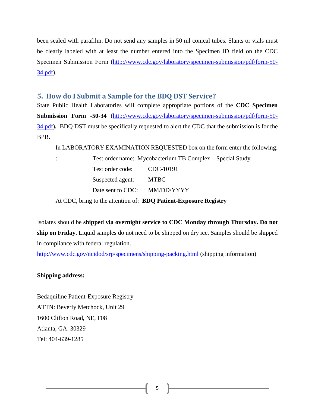been sealed with parafilm. Do not send any samples in 50 ml conical tubes. Slants or vials must be clearly labeled with at least the number entered into the Specimen ID field on the CDC Specimen Submission Form [\(http://www.cdc.gov/laboratory/specimen-submission/pdf/form-50-](http://www.cdc.gov/laboratory/specimen-submission/pdf/form-50-34.pdf) [34.pdf\)](http://www.cdc.gov/laboratory/specimen-submission/pdf/form-50-34.pdf).

#### **5. How do I Submit a Sample for the BDQ DST Service?**

State Public Health Laboratories will complete appropriate portions of the **CDC Specimen Submission Form -50-34** [\(http://www.cdc.gov/laboratory/specimen-submission/pdf/form-50-](http://www.cdc.gov/laboratory/specimen-submission/pdf/form-50-34.pdf) [34.pdf\)](http://www.cdc.gov/laboratory/specimen-submission/pdf/form-50-34.pdf)**.** BDQ DST must be specifically requested to alert the CDC that the submission is for the BPR.

In LABORATORY EXAMINATION REQUESTED box on the form enter the following:

: Test order name: Mycobacterium TB Complex – Special Study Test order code: CDC-10191 Suspected agent: MTBC Date sent to CDC: MM/DD/YYYY At CDC, bring to the attention of: **BDQ Patient-Exposure Registry**

Isolates should be **shipped via overnight service to CDC Monday through Thursday. Do not ship on Friday.** Liquid samples do not need to be shipped on dry ice. Samples should be shipped in compliance with federal regulation.

<http://www.cdc.gov/ncidod/srp/specimens/shipping-packing.html> (shipping information)

#### **Shipping address:**

Bedaquiline Patient-Exposure Registry ATTN: Beverly Metchock, Unit 29 1600 Clifton Road, NE, F08 Atlanta, GA. 30329 Tel: 404-639-1285

5